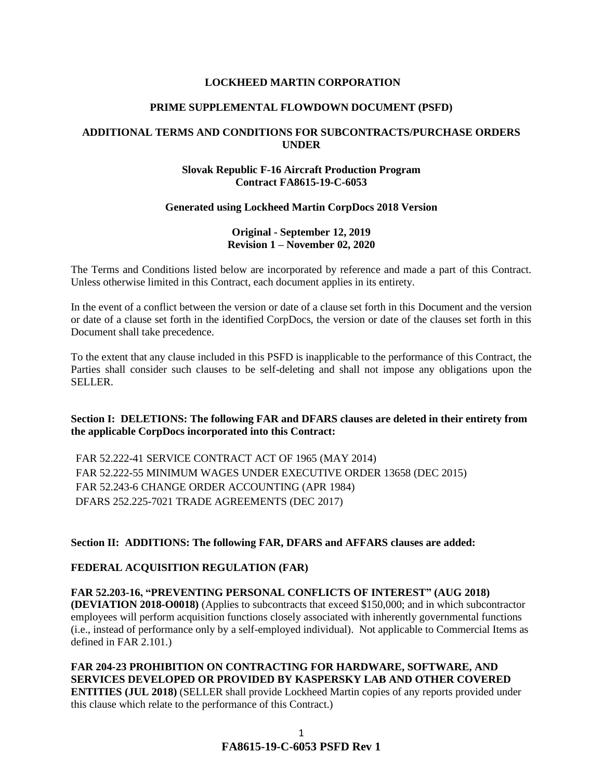### **LOCKHEED MARTIN CORPORATION**

#### **PRIME SUPPLEMENTAL FLOWDOWN DOCUMENT (PSFD)**

### **ADDITIONAL TERMS AND CONDITIONS FOR SUBCONTRACTS/PURCHASE ORDERS UNDER**

### **Slovak Republic F-16 Aircraft Production Program Contract FA8615-19-C-6053**

#### **Generated using Lockheed Martin CorpDocs 2018 Version**

### **Original - September 12, 2019 Revision 1 – November 02, 2020**

The Terms and Conditions listed below are incorporated by reference and made a part of this Contract. Unless otherwise limited in this Contract, each document applies in its entirety.

In the event of a conflict between the version or date of a clause set forth in this Document and the version or date of a clause set forth in the identified CorpDocs, the version or date of the clauses set forth in this Document shall take precedence.

To the extent that any clause included in this PSFD is inapplicable to the performance of this Contract, the Parties shall consider such clauses to be self-deleting and shall not impose any obligations upon the SELLER.

### **Section I: DELETIONS: The following FAR and DFARS clauses are deleted in their entirety from the applicable CorpDocs incorporated into this Contract:**

FAR 52.222-41 SERVICE CONTRACT ACT OF 1965 (MAY 2014) FAR 52.222-55 MINIMUM WAGES UNDER EXECUTIVE ORDER 13658 (DEC 2015) FAR 52.243-6 CHANGE ORDER ACCOUNTING (APR 1984) DFARS 252.225-7021 TRADE AGREEMENTS (DEC 2017)

### **Section II: ADDITIONS: The following FAR, DFARS and AFFARS clauses are added:**

#### **[FEDERAL ACQUISITION REGULATION \(](https://www.acquisition.gov/browsefar)FAR)**

**FAR 52.203-16, "PREVENTING PERSONAL CONFLICTS OF INTEREST" (AUG 2018) (DEVIATION 2018-O0018)** (Applies to subcontracts that exceed \$150,000; and in which subcontractor employees will perform acquisition functions closely associated with inherently governmental functions (i.e., instead of performance only by a self-employed individual). Not applicable to Commercial Items as defined in FAR 2.101.)

**FAR 204-23 PROHIBITION ON CONTRACTING FOR HARDWARE, SOFTWARE, AND SERVICES DEVELOPED OR PROVIDED BY KASPERSKY LAB AND OTHER COVERED ENTITIES (JUL 2018)** (SELLER shall provide Lockheed Martin copies of any reports provided under this clause which relate to the performance of this Contract.)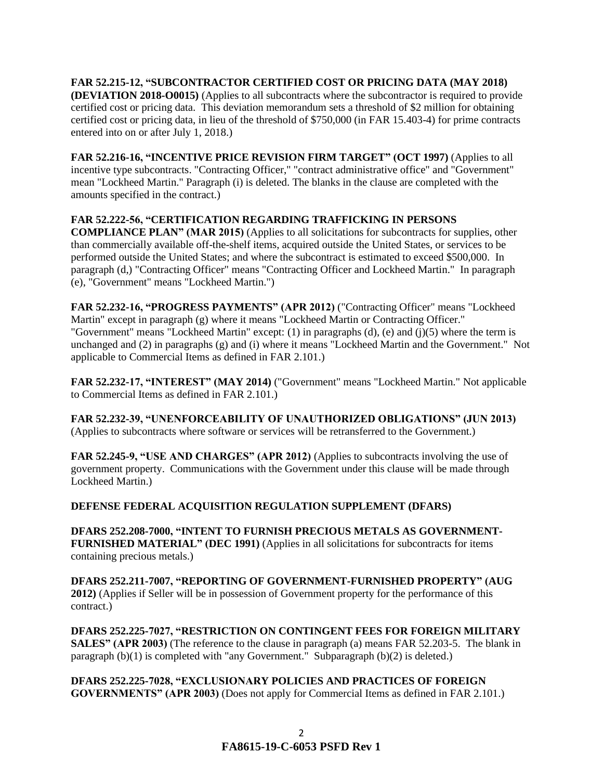**FAR 52.215-12, "SUBCONTRACTOR CERTIFIED COST OR PRICING DATA (MAY 2018) (DEVIATION 2018-O0015)** (Applies to all subcontracts where the subcontractor is required to provide certified cost or pricing data. This deviation memorandum sets a threshold of \$2 million for obtaining certified cost or pricing data, in lieu of the threshold of \$750,000 (in FAR 15.403-4) for prime contracts entered into on or after July 1, 2018.)

**FAR 52.216-16, "INCENTIVE PRICE REVISION FIRM TARGET" (OCT 1997)** (Applies to all incentive type subcontracts. "Contracting Officer," "contract administrative office" and "Government" mean "Lockheed Martin." Paragraph (i) is deleted. The blanks in the clause are completed with the amounts specified in the contract.)

## **FAR 52.222-56, "CERTIFICATION REGARDING TRAFFICKING IN PERSONS**

**COMPLIANCE PLAN" (MAR 2015)** (Applies to all solicitations for subcontracts for supplies, other than commercially available off-the-shelf items, acquired outside the United States, or services to be performed outside the United States; and where the subcontract is estimated to exceed \$500,000. In paragraph (d,) "Contracting Officer" means "Contracting Officer and Lockheed Martin." In paragraph (e), "Government" means "Lockheed Martin.")

**FAR 52.232-16, "PROGRESS PAYMENTS" (APR 2012)** ("Contracting Officer" means "Lockheed Martin" except in paragraph (g) where it means "Lockheed Martin or Contracting Officer." "Government" means "Lockheed Martin" except:  $(1)$  in paragraphs  $(d)$ ,  $(e)$  and  $(i)(5)$  where the term is unchanged and (2) in paragraphs (g) and (i) where it means "Lockheed Martin and the Government." Not applicable to Commercial Items as defined in FAR 2.101.)

**FAR 52.232-17, "INTEREST" (MAY 2014)** ("Government" means "Lockheed Martin." Not applicable to Commercial Items as defined in FAR 2.101.)

**FAR 52.232-39, "UNENFORCEABILITY OF UNAUTHORIZED OBLIGATIONS" (JUN 2013)** (Applies to subcontracts where software or services will be retransferred to the Government.)

**FAR 52.245-9, "USE AND CHARGES" (APR 2012)** (Applies to subcontracts involving the use of government property. Communications with the Government under this clause will be made through Lockheed Martin.)

### **DEFENSE FEDERAL ACQUISITION REGULATION SUPPLEMENT (DFARS)**

**DFARS 252.208-7000, "INTENT TO FURNISH PRECIOUS METALS AS GOVERNMENT-FURNISHED MATERIAL" (DEC 1991)** (Applies in all solicitations for subcontracts for items containing precious metals.)

**DFARS 252.211-7007, "REPORTING OF GOVERNMENT-FURNISHED PROPERTY" (AUG 2012)** (Applies if Seller will be in possession of Government property for the performance of this contract.)

**DFARS 252.225-7027, "RESTRICTION ON CONTINGENT FEES FOR FOREIGN MILITARY SALES" (APR 2003)** (The reference to the clause in paragraph (a) means FAR 52.203-5. The blank in paragraph  $(b)(1)$  is completed with "any Government." Subparagraph  $(b)(2)$  is deleted.)

**DFARS 252.225-7028, "EXCLUSIONARY POLICIES AND PRACTICES OF FOREIGN GOVERNMENTS" (APR 2003)** (Does not apply for Commercial Items as defined in FAR 2.101.)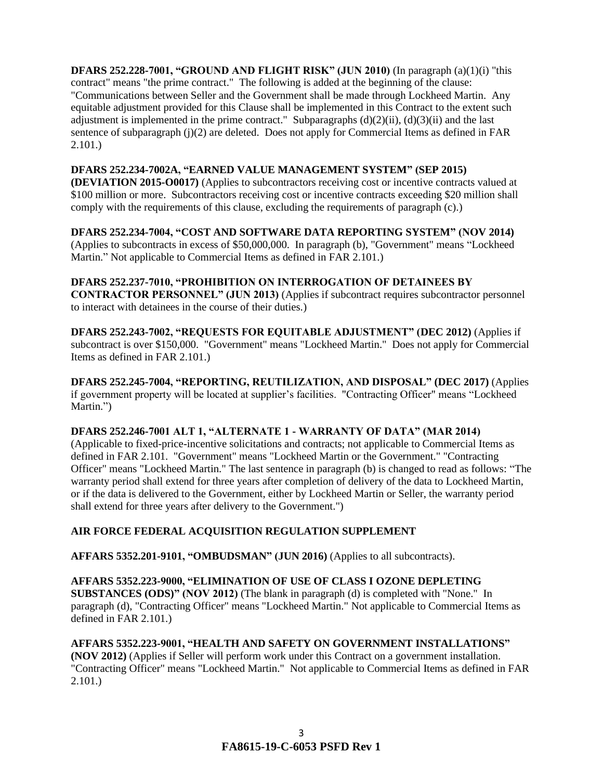**DFARS 252.228-7001, "GROUND AND FLIGHT RISK" (JUN 2010)** (In paragraph (a)(1)(i) "this contract" means "the prime contract." The following is added at the beginning of the clause: "Communications between Seller and the Government shall be made through Lockheed Martin. Any equitable adjustment provided for this Clause shall be implemented in this Contract to the extent such adjustment is implemented in the prime contract." Subparagraphs  $(d)(2)(ii)$ ,  $(d)(3)(ii)$  and the last sentence of subparagraph (j)(2) are deleted. Does not apply for Commercial Items as defined in FAR 2.101.)

### **DFARS 252.234-7002A, "EARNED VALUE MANAGEMENT SYSTEM" (SEP 2015)**

**(DEVIATION 2015-O0017)** (Applies to subcontractors receiving cost or incentive contracts valued at \$100 million or more. Subcontractors receiving cost or incentive contracts exceeding \$20 million shall comply with the requirements of this clause, excluding the requirements of paragraph (c).)

**DFARS 252.234-7004, "COST AND SOFTWARE DATA REPORTING SYSTEM" (NOV 2014)** (Applies to subcontracts in excess of \$50,000,000. In paragraph (b), "Government" means "Lockheed Martin." Not applicable to Commercial Items as defined in FAR 2.101.)

**DFARS 252.237-7010, "PROHIBITION ON INTERROGATION OF DETAINEES BY CONTRACTOR PERSONNEL" (JUN 2013)** (Applies if subcontract requires subcontractor personnel to interact with detainees in the course of their duties.)

**DFARS 252.243-7002, "REQUESTS FOR EQUITABLE ADJUSTMENT" (DEC 2012)** (Applies if subcontract is over \$150,000. "Government" means "Lockheed Martin." Does not apply for Commercial Items as defined in FAR 2.101.)

**DFARS 252.245-7004, "REPORTING, REUTILIZATION, AND DISPOSAL" (DEC 2017)** (Applies if government property will be located at supplier's facilities. "Contracting Officer" means "Lockheed Martin.")

## **DFARS 252.246-7001 ALT 1, "ALTERNATE 1 - WARRANTY OF DATA" (MAR 2014)**

(Applicable to fixed-price-incentive solicitations and contracts; not applicable to Commercial Items as defined in FAR 2.101. "Government" means "Lockheed Martin or the Government." "Contracting Officer" means "Lockheed Martin." The last sentence in paragraph (b) is changed to read as follows: "The warranty period shall extend for three years after completion of delivery of the data to Lockheed Martin, or if the data is delivered to the Government, either by Lockheed Martin or Seller, the warranty period shall extend for three years after delivery to the Government.")

## **AIR FORCE FEDERAL ACQUISITION REGULATION SUPPLEMENT**

**AFFARS 5352.201-9101, "OMBUDSMAN" (JUN 2016)** (Applies to all subcontracts).

# **AFFARS 5352.223-9000, "ELIMINATION OF USE OF CLASS I OZONE DEPLETING**

**SUBSTANCES (ODS)" (NOV 2012)** (The blank in paragraph (d) is completed with "None." In paragraph (d), "Contracting Officer" means "Lockheed Martin." Not applicable to Commercial Items as defined in FAR 2.101.)

**AFFARS 5352.223-9001, "HEALTH AND SAFETY ON GOVERNMENT INSTALLATIONS" (NOV 2012)** (Applies if Seller will perform work under this Contract on a government installation. "Contracting Officer" means "Lockheed Martin." Not applicable to Commercial Items as defined in FAR 2.101.)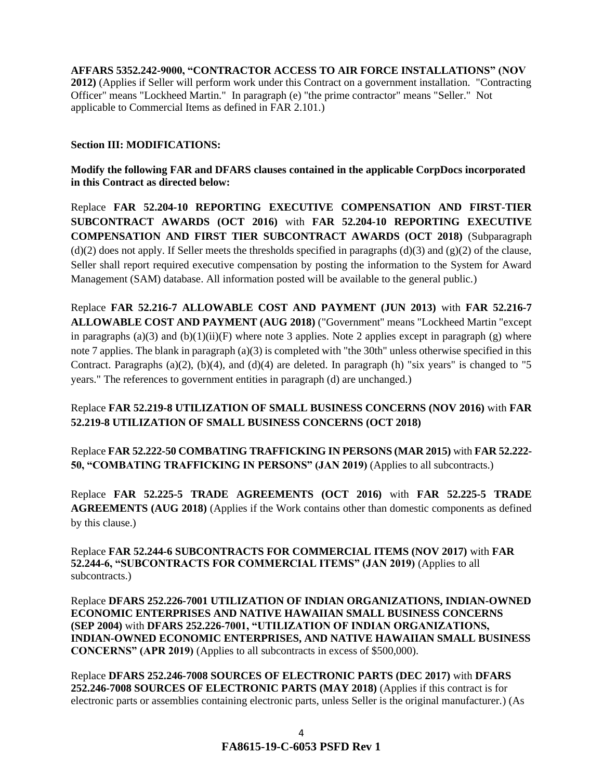**AFFARS 5352.242-9000, "CONTRACTOR ACCESS TO AIR FORCE INSTALLATIONS" (NOV 2012)** (Applies if Seller will perform work under this Contract on a government installation. "Contracting Officer" means "Lockheed Martin." In paragraph (e) "the prime contractor" means "Seller." Not applicable to Commercial Items as defined in FAR 2.101.)

### **Section III: MODIFICATIONS:**

**Modify the following FAR and DFARS clauses contained in the applicable CorpDocs incorporated in this Contract as directed below:**

Replace **FAR 52.204-10 REPORTING EXECUTIVE COMPENSATION AND FIRST-TIER SUBCONTRACT AWARDS (OCT 2016)** with **FAR 52.204-10 REPORTING EXECUTIVE COMPENSATION AND FIRST TIER SUBCONTRACT AWARDS (OCT 2018)** (Subparagraph  $(d)(2)$  does not apply. If Seller meets the thresholds specified in paragraphs  $(d)(3)$  and  $(g)(2)$  of the clause, Seller shall report required executive compensation by posting the information to the System for Award Management (SAM) database. All information posted will be available to the general public.)

Replace **FAR 52.216-7 ALLOWABLE COST AND PAYMENT (JUN 2013)** with **FAR 52.216-7 ALLOWABLE COST AND PAYMENT (AUG 2018)** ("Government" means "Lockheed Martin "except in paragraphs (a)(3) and (b)(1)(ii)(F) where note 3 applies. Note 2 applies except in paragraph (g) where note 7 applies. The blank in paragraph (a)(3) is completed with "the 30th" unless otherwise specified in this Contract. Paragraphs (a)(2), (b)(4), and (d)(4) are deleted. In paragraph (h) "six years" is changed to "5 years." The references to government entities in paragraph (d) are unchanged.)

# Replace **FAR 52.219-8 UTILIZATION OF SMALL BUSINESS CONCERNS (NOV 2016)** with **FAR 52.219-8 UTILIZATION OF SMALL BUSINESS CONCERNS (OCT 2018)**

Replace **FAR 52.222-50 COMBATING TRAFFICKING IN PERSONS (MAR 2015)** with **FAR 52.222- 50, "COMBATING TRAFFICKING IN PERSONS" (JAN 2019)** (Applies to all subcontracts.)

Replace **FAR 52.225-5 TRADE AGREEMENTS (OCT 2016)** with **FAR 52.225-5 TRADE AGREEMENTS (AUG 2018)** (Applies if the Work contains other than domestic components as defined by this clause.)

Replace **FAR 52.244-6 SUBCONTRACTS FOR COMMERCIAL ITEMS (NOV 2017)** with **FAR 52.244-6, "SUBCONTRACTS FOR COMMERCIAL ITEMS" (JAN 2019)** (Applies to all subcontracts.)

Replace **DFARS 252.226-7001 UTILIZATION OF INDIAN ORGANIZATIONS, INDIAN-OWNED ECONOMIC ENTERPRISES AND NATIVE HAWAIIAN SMALL BUSINESS CONCERNS (SEP 2004)** with **DFARS 252.226-7001, "UTILIZATION OF INDIAN ORGANIZATIONS, INDIAN-OWNED ECONOMIC ENTERPRISES, AND NATIVE HAWAIIAN SMALL BUSINESS CONCERNS" (APR 2019)** (Applies to all subcontracts in excess of \$500,000).

Replace **DFARS 252.246-7008 SOURCES OF ELECTRONIC PARTS (DEC 2017)** with **DFARS 252.246-7008 SOURCES OF ELECTRONIC PARTS (MAY 2018)** (Applies if this contract is for electronic parts or assemblies containing electronic parts, unless Seller is the original manufacturer.) (As